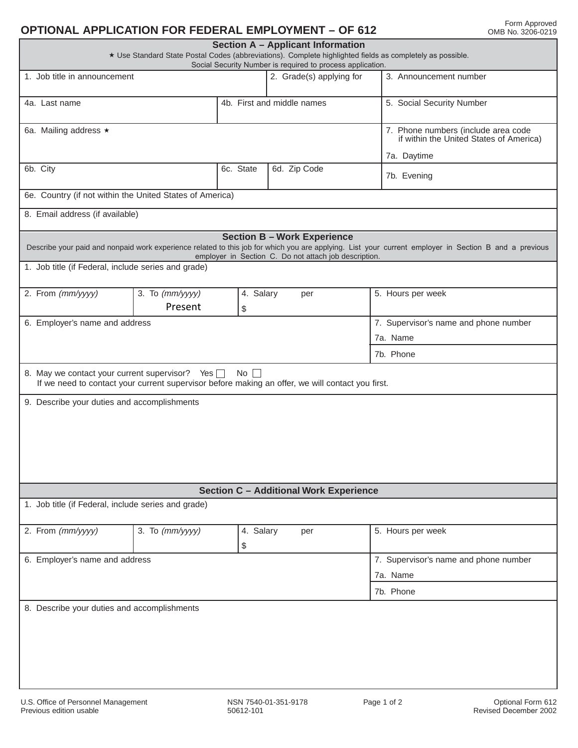## **OPTIONAL APPLICATION FOR FEDERAL EMPLOYMENT – OF 612**

| Section A - Applicant Information<br>* Use Standard State Postal Codes (abbreviations). Complete highlighted fields as completely as possible.<br>Social Security Number is required to process application.                                                                                                |                   |                                                                                |                                                                                                  |                           |  |  |  |  |  |  |  |
|-------------------------------------------------------------------------------------------------------------------------------------------------------------------------------------------------------------------------------------------------------------------------------------------------------------|-------------------|--------------------------------------------------------------------------------|--------------------------------------------------------------------------------------------------|---------------------------|--|--|--|--|--|--|--|
| 1. Job title in announcement                                                                                                                                                                                                                                                                                |                   |                                                                                | 2. Grade(s) applying for                                                                         | 3. Announcement number    |  |  |  |  |  |  |  |
| 4a. Last name                                                                                                                                                                                                                                                                                               |                   |                                                                                | 4b. First and middle names                                                                       | 5. Social Security Number |  |  |  |  |  |  |  |
| 6a. Mailing address *                                                                                                                                                                                                                                                                                       |                   | 7. Phone numbers (include area code<br>if within the United States of America) |                                                                                                  |                           |  |  |  |  |  |  |  |
|                                                                                                                                                                                                                                                                                                             |                   |                                                                                |                                                                                                  | 7a. Daytime               |  |  |  |  |  |  |  |
| 6b. City                                                                                                                                                                                                                                                                                                    |                   | 6c. State                                                                      | 6d. Zip Code                                                                                     | 7b. Evening               |  |  |  |  |  |  |  |
| 6e. Country (if not within the United States of America)                                                                                                                                                                                                                                                    |                   |                                                                                |                                                                                                  |                           |  |  |  |  |  |  |  |
| 8. Email address (if available)                                                                                                                                                                                                                                                                             |                   |                                                                                |                                                                                                  |                           |  |  |  |  |  |  |  |
| <b>Section B - Work Experience</b><br>Describe your paid and nonpaid work experience related to this job for which you are applying. List your current employer in Section B and a previous<br>employer in Section C. Do not attach job description.<br>1. Job title (if Federal, include series and grade) |                   |                                                                                |                                                                                                  |                           |  |  |  |  |  |  |  |
| 2. From (mm/yyyy)                                                                                                                                                                                                                                                                                           | 3. To $(mm/yyyy)$ | 4. Salary                                                                      | per                                                                                              | 5. Hours per week         |  |  |  |  |  |  |  |
|                                                                                                                                                                                                                                                                                                             | Present           | \$                                                                             |                                                                                                  |                           |  |  |  |  |  |  |  |
| 6. Employer's name and address                                                                                                                                                                                                                                                                              |                   |                                                                                | 7. Supervisor's name and phone number                                                            |                           |  |  |  |  |  |  |  |
|                                                                                                                                                                                                                                                                                                             |                   |                                                                                | 7a. Name                                                                                         |                           |  |  |  |  |  |  |  |
|                                                                                                                                                                                                                                                                                                             |                   |                                                                                |                                                                                                  | 7b. Phone                 |  |  |  |  |  |  |  |
| 8. May we contact your current supervisor? Yes<br>9. Describe your duties and accomplishments                                                                                                                                                                                                               |                   | $No$ $\vert \ \vert$                                                           | If we need to contact your current supervisor before making an offer, we will contact you first. |                           |  |  |  |  |  |  |  |
| <b>Section C - Additional Work Experience</b>                                                                                                                                                                                                                                                               |                   |                                                                                |                                                                                                  |                           |  |  |  |  |  |  |  |
| 1. Job title (if Federal, include series and grade)                                                                                                                                                                                                                                                         |                   |                                                                                |                                                                                                  |                           |  |  |  |  |  |  |  |
| 2. From (mm/yyyy)                                                                                                                                                                                                                                                                                           | 3. To $(mm/yyyy)$ | 4. Salary<br>\$                                                                | per                                                                                              | 5. Hours per week         |  |  |  |  |  |  |  |
| 6. Employer's name and address                                                                                                                                                                                                                                                                              |                   | 7. Supervisor's name and phone number                                          |                                                                                                  |                           |  |  |  |  |  |  |  |
|                                                                                                                                                                                                                                                                                                             |                   |                                                                                |                                                                                                  | 7a. Name                  |  |  |  |  |  |  |  |
|                                                                                                                                                                                                                                                                                                             |                   |                                                                                |                                                                                                  | 7b. Phone                 |  |  |  |  |  |  |  |
| 8. Describe your duties and accomplishments                                                                                                                                                                                                                                                                 |                   |                                                                                |                                                                                                  |                           |  |  |  |  |  |  |  |